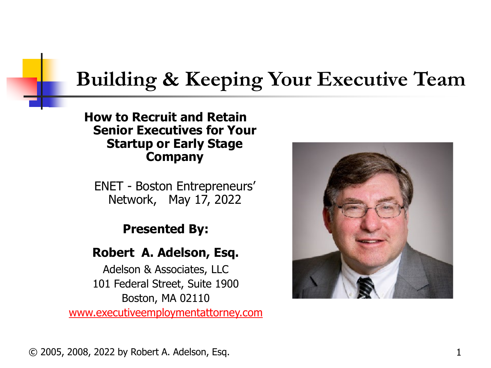# **Building & Keeping Your Executive Team**

#### **How to Recruit and Retain Senior Executives for Your Startup or Early Stage Company**

ENET - Boston Entrepreneurs' Network, May 17, 2022

#### **Presented By:**

#### **Robert A. Adelson, Esq.**

Adelson & Associates, LLC 101 Federal Street, Suite 1900 Boston, MA 02110 [www.executiveemploymentattorney.com](http://www.executiveemploymentattorney.com/)

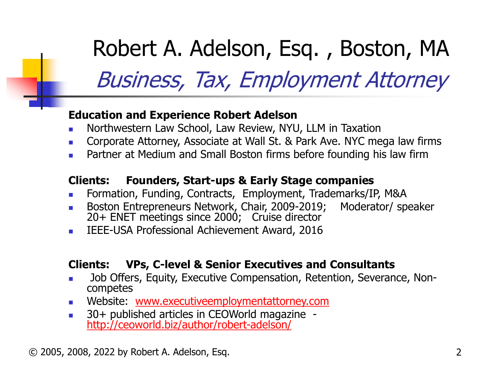Robert A. Adelson, Esq. , Boston, MA Business, Tax, Employment Attorney

#### **Education and Experience Robert Adelson**

- Northwestern Law School, Law Review, NYU, LLM in Taxation
- **Corporate Attorney, Associate at Wall St. & Park Ave. NYC mega law firms**
- Partner at Medium and Small Boston firms before founding his law firm

#### **Clients: Founders, Start-ups & Early Stage companies**

- Formation, Funding, Contracts, Employment, Trademarks/IP, M&A
- Boston Entrepreneurs Network, Chair, 2009-2019; Moderator/ speaker 20+ ENET meetings since 2000; Cruise director
- **IEEE-USA Professional Achievement Award, 2016**

#### **Clients: VPs, C-level & Senior Executives and Consultants**

- Job Offers, Equity, Executive Compensation, Retention, Severance, Non- competes
- **Nebsite: [www.executiveemploymentattorney.com](http://www.executiveemploymentattorney.com/)**
- 130+ published articles in CEOWorld magazine<br><http://ceoworld.biz/author/robert-adelson/>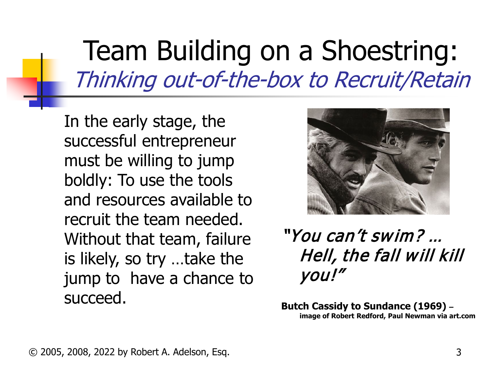In the early stage, the successful entrepreneur must be willing to jump boldly: To use the tools and resources available to recruit the team needed. Without that team, failure is likely, so try …take the jump to have a chance to succeed.



"You can't swim? … Hell, the fall will kill you!"

**Butch Cassidy to Sundance (1969) – image of Robert Redford, Paul Newman via art.com**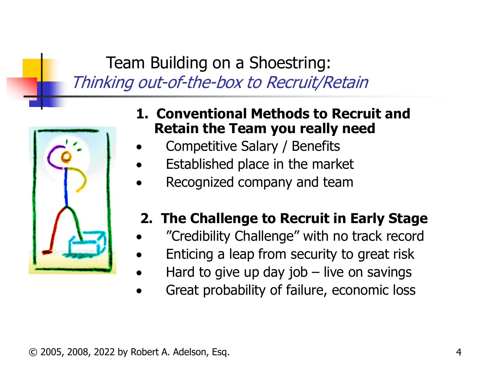

- **1. Conventional Methods to Recruit and Retain the Team you really need**
- Competitive Salary / Benefits
- Established place in the market
- Recognized company and team

#### **2. The Challenge to Recruit in Early Stage**

- "Credibility Challenge" with no track record
- Enticing a leap from security to great risk
- Hard to give up day job  $-$  live on savings
- Great probability of failure, economic loss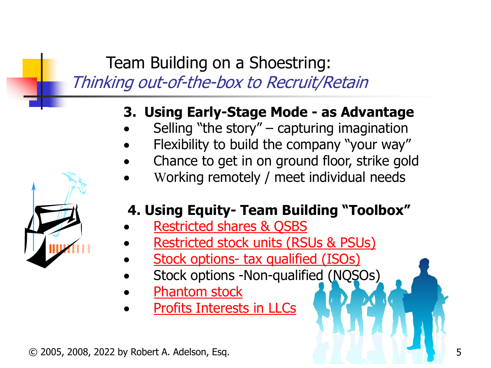### **3. Using Early-Stage Mode - as Advantage**

- Selling "the story"  $-$  capturing imagination
- Flexibility to build the company "your way"
- Chance to get in on ground floor, strike gold
- Working remotely / meet individual needs

#### **4. Using Equity- Team Building "Toolbox"**

- [Restricted shares & QSBS](https://www.executiveemploymentattorney.com/restricted-stock-and-other-equity-options-for-your-executive-compensation-package/)
- [Restricted stock units \(RSUs & PSUs\)](https://www.executiveemploymentattorney.com/articles-section/the-advantage-of-rsus-in-your-ceo-compensation-package/)
- **Stock options- [tax qualified \(ISOs\)](https://www.ivyexec.com/career-advice/2021/executive-equity-structure/)**
- Stock options -Non-qualified (NQSOs)
- **[Phantom stock](https://www.executiveemploymentattorney.com/phantom-stock-as-executive-compensation-for-family-businesses/)**
- [Profits Interests in LLCs](https://www.executiveemploymentattorney.com/negotiating-favorable-executive-equity-terms-in-an-llc-capital-vs-profit-interests/)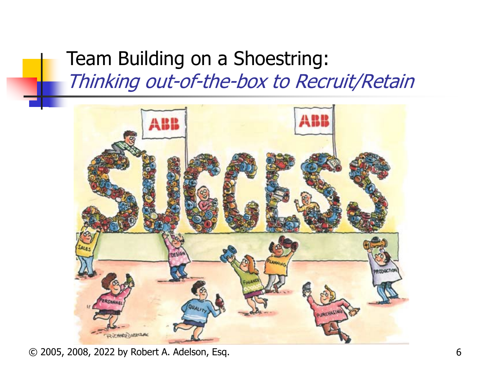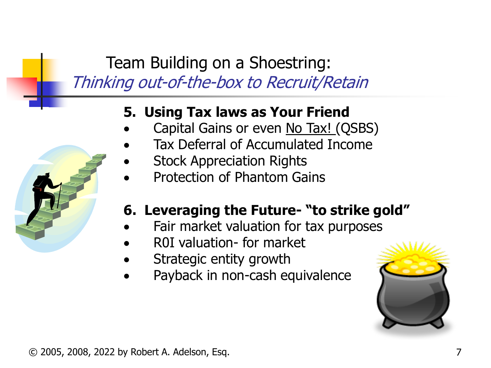#### **5. Using Tax laws as Your Friend**

- Capital Gains or even No Tax! (QSBS)
- Tax Deferral of Accumulated Income
- **Stock Appreciation Rights**
- Protection of Phantom Gains

#### **6. Leveraging the Future- "to strike gold"**

- Fair market valuation for tax purposes
- R0I valuation- for market
- Strategic entity growth
- Payback in non-cash equivalence

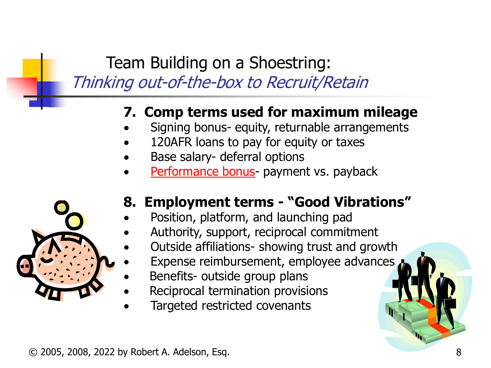#### **7. Comp terms used for maximum mileage**

- Signing bonus- equity, returnable arrangements
- 120AFR loans to pay for equity or taxes
- Base salary- deferral options
- [Performance bonus](https://www.executiveemploymentattorney.com/structuring-bonuses-in-your-ceo-compensation-for-maximum-benefit/) payment vs. payback



#### **8. Employment terms - "Good Vibrations"**

- Position, platform, and launching pad
- Authority, support, reciprocal commitment
- Outside affiliations- showing trust and growth
- Expense reimbursement, employee advances
- Benefits- outside group plans
- Reciprocal termination provisions
- Targeted restricted covenants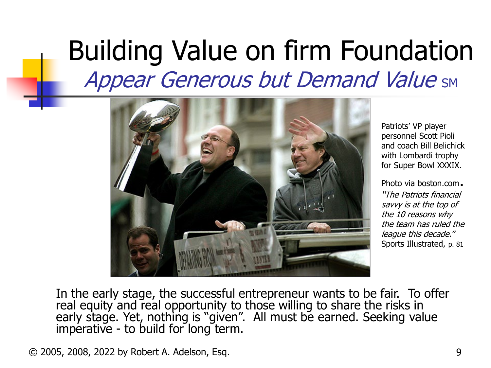# Building Value on firm Foundation **Appear Generous but Demand Value SM**



Patriots' VP player personnel Scott Pioli and coach Bill Belichick with Lombardi trophy for Super Bowl XXXIX.

Photo via boston.com. "The Patriots financial savvy is at the top of the 10 reasons why the team has ruled the league this decade." Sports Illustrated, p. 81

In the early stage, the successful entrepreneur wants to be fair. To offer real equity and real opportunity to those willing to share the risks in early stage. Yet, nothing is "given". All must be earned. Seeking value imperative - to build for long term.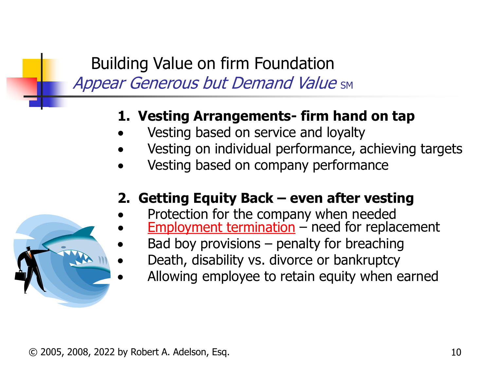## Building Value on firm Foundation **Appear Generous but Demand Value SM**

#### **1. Vesting Arrangements- firm hand on tap**

- Vesting based on service and loyalty
- Vesting on individual performance, achieving targets
- Vesting based on company performance

#### **2. Getting Equity Back – even after vesting**

- Protection for the company when needed
	- [Employment termination](https://www.executiveemploymentattorney.com/articles-section/executive-employment-termination/) need for replacement
	- Bad boy provisions  $-$  penalty for breaching
	- Death, disability vs. divorce or bankruptcy
	- Allowing employee to retain equity when earned

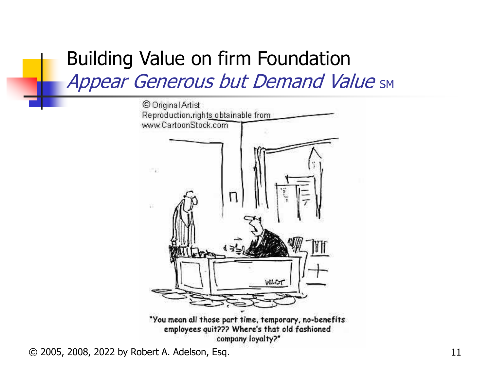## Building Value on firm Foundation **Appear Generous but Demand Value SM**

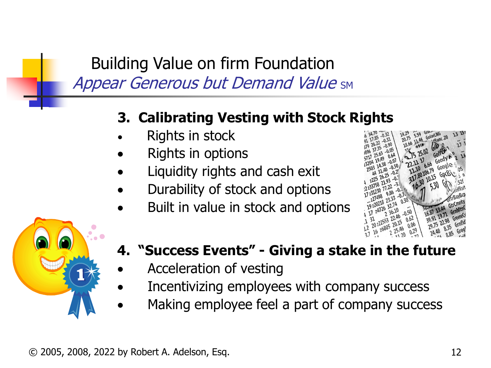Building Value on firm Foundation **Appear Generous but Demand Value SM** 

#### **3. Calibrating Vesting with Stock Rights**

- Rights in stock
- Rights in options
- Liquidity rights and cash exit
- Durability of stock and options
- Built in value in stock and options





### **4. "Success Events" - Giving a stake in the future**

- Acceleration of vesting
- Incentivizing employees with company success
- Making employee feel a part of company success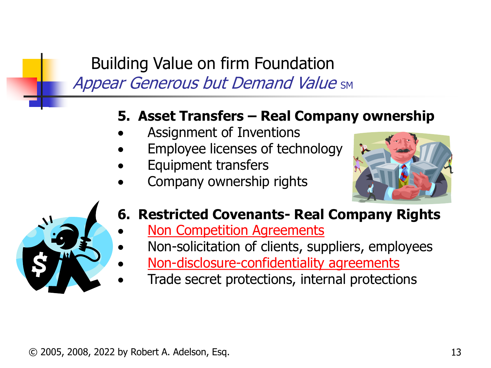## Building Value on firm Foundation **Appear Generous but Demand Value SM**

#### **5. Asset Transfers – Real Company ownership**

- Assignment of Inventions
- Employee licenses of technology
- Equipment transfers
- Company ownership rights





#### **6. Restricted Covenants- Real Company Rights**

- **[Non Competition Agreements](https://www.executiveemploymentattorney.com/articles-section/pitfalls-surmount-executive-non-compete-agreement/)**
- Non-solicitation of clients, suppliers, employees
- [Non-disclosure-confidentiality agreements](https://www.executiveemploymentattorney.com/non-compete-agreement-attorney/)
- Trade secret protections, internal protections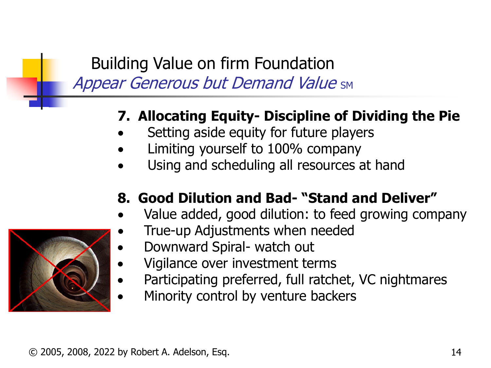## Building Value on firm Foundation **Appear Generous but Demand Value SM**

### **7. Allocating Equity- Discipline of Dividing the Pie**

- Setting aside equity for future players
- Limiting yourself to 100% company
- Using and scheduling all resources at hand

## **8. Good Dilution and Bad- "Stand and Deliver"**

- Value added, good dilution: to feed growing company
	- True-up Adjustments when needed
		- Downward Spiral- watch out
		- Vigilance over investment terms
	- Participating preferred, full ratchet, VC nightmares
- Minority control by venture backers